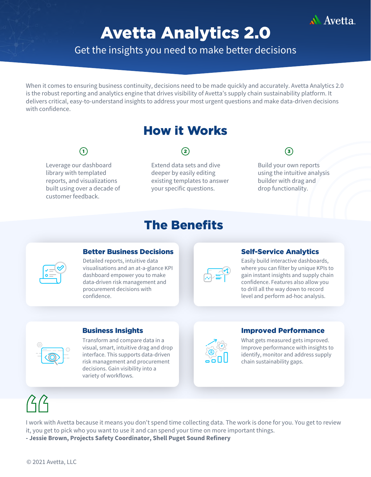

# Avetta Analytics 2.0

Get the insights you need to make better decisions

When it comes to ensuring business continuity, decisions need to be made quickly and accurately. Avetta Analytics 2.0 is the robust reporting and analytics engine that drives visibility of Avetta's supply chain sustainability platform. It delivers critical, easy-to-understand insights to address your most urgent questions and make data-driven decisions with confidence.

## How it Works

Leverage our dashboard library with templated reports, and visualizations built using over a decade of customer feedback.

### $\qquad \qquad \qquad (2) \qquad \qquad (3)$

Extend data sets and dive deeper by easily editing existing templates to answer your specific questions.

# The Benefits

Build your own reports using the intuitive analysis builder with drag and drop functionality.

| г |
|---|
|   |

#### **Better Business Decisions Self-Service Analytics**

Detailed reports, intuitive data visualisations and an at-a-glance KPI dashboard empower you to make data-driven risk management and procurement decisions with confidence.



Easily build interactive dashboards, where you can filter by unique KPIs to gain instant insights and supply chain confidence. Features also allow you to drill all the way down to record level and perform ad-hoc analysis.

Transform and compare data in a visual, smart, intuitive drag and drop interface. This supports data-driven risk management and procurement decisions. Gain visibility into a variety of workflows.



#### **Business Insights Improved Performance**

What gets measured gets improved. Improve performance with insights to identify, monitor and address supply chain sustainability gaps.

I work with Avetta because it means you don't spend time collecting data. The work is done for you. You get to review it, you get to pick who you want to use it and can spend your time on more important things.

**- Jessie Brown, Projects Safety Coordinator, Shell Puget Sound Refinery**